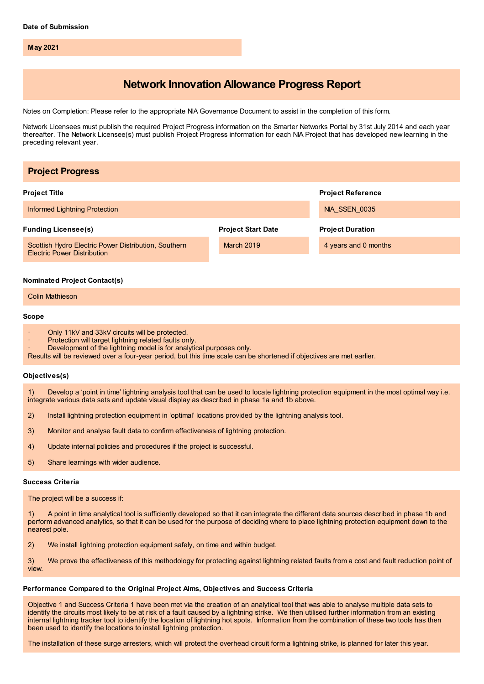**May 2021**

# **Network Innovation Allowance Progress Report**

Notes on Completion: Please refer to the appropriate NIA Governance Document to assist in the completion of this form.

Network Licensees must publish the required Project Progress information on the Smarter Networks Portal by 31st July 2014 and each year thereafter. The Network Licensee(s) must publish Project Progress information for each NIA Project that has developed new learning in the preceding relevant year.

| <b>Project Progress</b>                                                                                                                                                                                                                                                                                    |                           |                          |
|------------------------------------------------------------------------------------------------------------------------------------------------------------------------------------------------------------------------------------------------------------------------------------------------------------|---------------------------|--------------------------|
| <b>Project Title</b>                                                                                                                                                                                                                                                                                       |                           | <b>Project Reference</b> |
| Informed Lightning Protection                                                                                                                                                                                                                                                                              |                           | <b>NIA_SSEN_0035</b>     |
| <b>Funding Licensee(s)</b>                                                                                                                                                                                                                                                                                 | <b>Project Start Date</b> | <b>Project Duration</b>  |
| Scottish Hydro Electric Power Distribution, Southern<br><b>Electric Power Distribution</b>                                                                                                                                                                                                                 | March 2019                | 4 years and 0 months     |
| <b>Nominated Project Contact(s)</b>                                                                                                                                                                                                                                                                        |                           |                          |
| <b>Colin Mathieson</b>                                                                                                                                                                                                                                                                                     |                           |                          |
| Scope                                                                                                                                                                                                                                                                                                      |                           |                          |
| Only 11kV and 33kV circuits will be protected.<br>Protection will target lightning related faults only.<br>Development of the lightning model is for analytical purposes only.<br>Results will be reviewed over a four-year period, but this time scale can be shortened if objectives are met earlier.    |                           |                          |
| Objectives(s)                                                                                                                                                                                                                                                                                              |                           |                          |
| 1)<br>Develop a 'point in time' lightning analysis tool that can be used to locate lightning protection equipment in the most optimal way i.e.<br>integrate various data sets and update visual display as described in phase 1a and 1b above.                                                             |                           |                          |
| Install lightning protection equipment in 'optimal' locations provided by the lightning analysis tool.<br>2)                                                                                                                                                                                               |                           |                          |
| 3)<br>Monitor and analyse fault data to confirm effectiveness of lightning protection.                                                                                                                                                                                                                     |                           |                          |
| Update internal policies and procedures if the project is successful.<br>4)                                                                                                                                                                                                                                |                           |                          |
| Share learnings with wider audience.<br>5)                                                                                                                                                                                                                                                                 |                           |                          |
| <b>Success Criteria</b>                                                                                                                                                                                                                                                                                    |                           |                          |
| The project will be a success if:                                                                                                                                                                                                                                                                          |                           |                          |
| A point in time analytical tool is sufficiently developed so that it can integrate the different data sources described in phase 1b and<br>1)<br>perform advanced analytics, so that it can be used for the purpose of deciding where to place lightning protection equipment down to the<br>nearest pole. |                           |                          |
| Ale install lightning protection cautingport octobe on time and utibin budget                                                                                                                                                                                                                              |                           |                          |

2) We install lightning protection equipment safely, on time and within budget.

3) We prove the effectiveness of this methodology for protecting against lightning related faults from a cost and fault reduction point of view.

# **Performance Compared to the Original Project Aims, Objectives and Success Criteria**

Objective 1 and Success Criteria 1 have been met via the creation of an analytical tool that was able to analyse multiple data sets to identify the circuits most likely to be at risk of a fault caused by a lightning strike. We then utilised further information from an existing internal lightning tracker tool to identify the location of lightning hot spots. Information from the combination of these two tools has then been used to identify the locations to install lightning protection.

The installation of these surge arresters, which will protect the overhead circuit form a lightning strike, is planned for later this year.